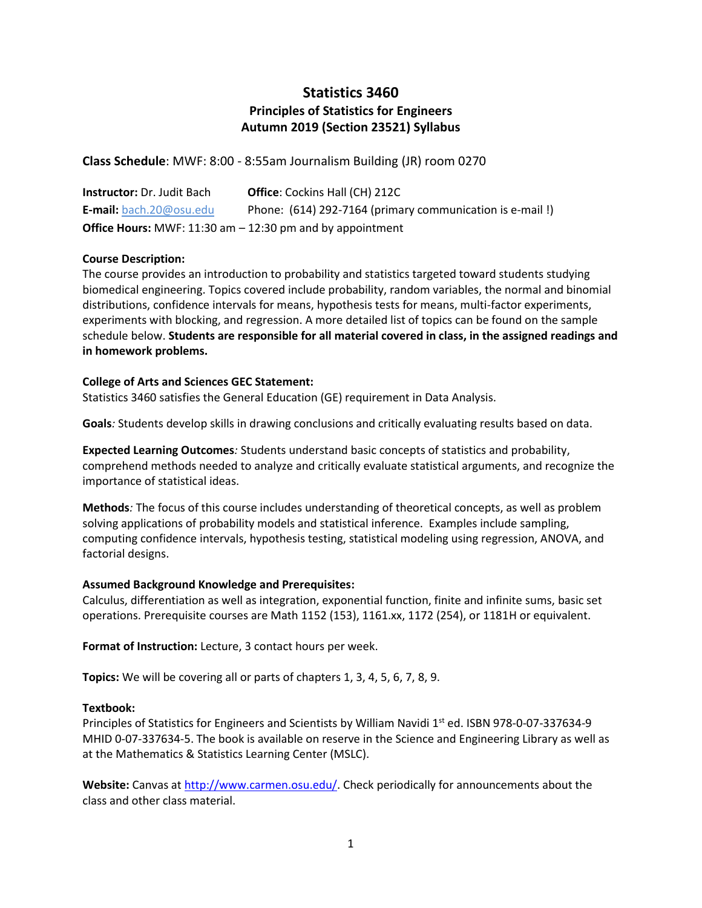# **Statistics 3460 Principles of Statistics for Engineers Autumn 2019 (Section 23521) Syllabus**

**Class Schedule**: MWF: 8:00 - 8:55am Journalism Building (JR) room 0270

| <b>Instructor:</b> Dr. Judit Bach | <b>Office:</b> Cockins Hall (CH) 212C                              |
|-----------------------------------|--------------------------------------------------------------------|
| <b>E-mail:</b> bach.20@osu.edu    | Phone: (614) 292-7164 (primary communication is e-mail!)           |
|                                   | <b>Office Hours:</b> MWF: 11:30 am $-$ 12:30 pm and by appointment |

## **Course Description:**

The course provides an introduction to probability and statistics targeted toward students studying biomedical engineering. Topics covered include probability, random variables, the normal and binomial distributions, confidence intervals for means, hypothesis tests for means, multi-factor experiments, experiments with blocking, and regression. A more detailed list of topics can be found on the sample schedule below. **Students are responsible for all material covered in class, in the assigned readings and in homework problems.**

## **College of Arts and Sciences GEC Statement:**

Statistics 3460 satisfies the General Education (GE) requirement in Data Analysis.

**Goals***:* Students develop skills in drawing conclusions and critically evaluating results based on data.

**Expected Learning Outcomes***:* Students understand basic concepts of statistics and probability, comprehend methods needed to analyze and critically evaluate statistical arguments, and recognize the importance of statistical ideas.

**Methods***:* The focus of this course includes understanding of theoretical concepts, as well as problem solving applications of probability models and statistical inference. Examples include sampling, computing confidence intervals, hypothesis testing, statistical modeling using regression, ANOVA, and factorial designs.

## **Assumed Background Knowledge and Prerequisites:**

Calculus, differentiation as well as integration, exponential function, finite and infinite sums, basic set operations. Prerequisite courses are Math 1152 (153), 1161.xx, 1172 (254), or 1181H or equivalent.

**Format of Instruction:** Lecture, 3 contact hours per week.

**Topics:** We will be covering all or parts of chapters 1, 3, 4, 5, 6, 7, 8, 9.

## **Textbook:**

Principles of Statistics for Engineers and Scientists by William Navidi 1<sup>st</sup> ed. ISBN 978-0-07-337634-9 MHID 0-07-337634-5. The book is available on reserve in the Science and Engineering Library as well as at the Mathematics & Statistics Learning Center (MSLC).

**Website:** Canvas a[t http://www.carmen.osu.edu/.](http://www.carmen.osu.edu/) Check periodically for announcements about the class and other class material.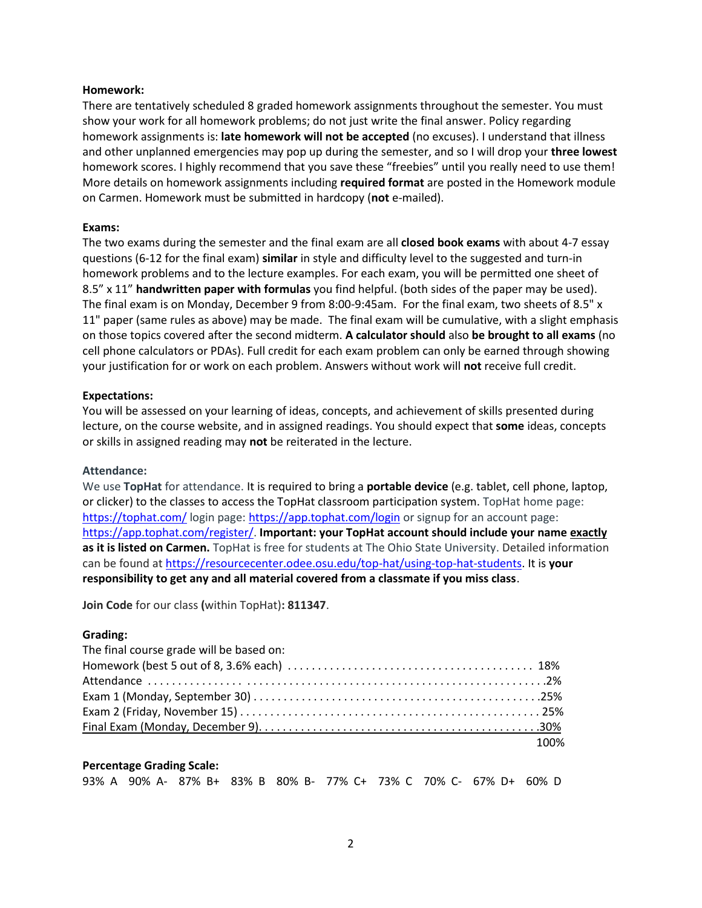#### **Homework:**

There are tentatively scheduled 8 graded homework assignments throughout the semester. You must show your work for all homework problems; do not just write the final answer. Policy regarding homework assignments is: **late homework will not be accepted** (no excuses). I understand that illness and other unplanned emergencies may pop up during the semester, and so I will drop your **three lowest** homework scores. I highly recommend that you save these "freebies" until you really need to use them! More details on homework assignments including **required format** are posted in the Homework module on Carmen. Homework must be submitted in hardcopy (**not** e-mailed).

#### **Exams:**

The two exams during the semester and the final exam are all **closed book exams** with about 4-7 essay questions (6-12 for the final exam) **similar** in style and difficulty level to the suggested and turn-in homework problems and to the lecture examples. For each exam, you will be permitted one sheet of 8.5" x 11" **handwritten paper with formulas** you find helpful. (both sides of the paper may be used). The final exam is on Monday, December 9 from 8:00-9:45am. For the final exam, two sheets of 8.5" x 11" paper (same rules as above) may be made. The final exam will be cumulative, with a slight emphasis on those topics covered after the second midterm. **A calculator should** also **be brought to all exams** (no cell phone calculators or PDAs). Full credit for each exam problem can only be earned through showing your justification for or work on each problem. Answers without work will **not** receive full credit.

#### **Expectations:**

You will be assessed on your learning of ideas, concepts, and achievement of skills presented during lecture, on the course website, and in assigned readings. You should expect that **some** ideas, concepts or skills in assigned reading may **not** be reiterated in the lecture.

#### **Attendance:**

We use **TopHat** for attendance. It is required to bring a **portable device** (e.g. tablet, cell phone, laptop, or clicker) to the classes to access the TopHat classroom participation system. TopHat home page: <https://tophat.com/> login page: <https://app.tophat.com/login> or signup for an account page: [https://app.tophat.com/register/.](https://app.tophat.com/register/) **Important: your TopHat account should include your name exactly as it is listed on Carmen.** TopHat is free for students at The Ohio State University. Detailed information can be found at [https://resourcecenter.odee.osu.edu/top-hat/using-top-hat-students.](https://resourcecenter.odee.osu.edu/top-hat/using-top-hat-students) It is **your responsibility to get any and all material covered from a classmate if you miss class**.

**Join Code** for our class **(**within TopHat)**: 811347**.

#### **Grading:**

| The final course grade will be based on: |      |
|------------------------------------------|------|
|                                          |      |
|                                          |      |
|                                          |      |
|                                          |      |
|                                          |      |
|                                          | 100% |

#### **Percentage Grading Scale:**

93% A 90% A- 87% B+ 83% B 80% B- 77% C+ 73% C 70% C- 67% D+ 60% D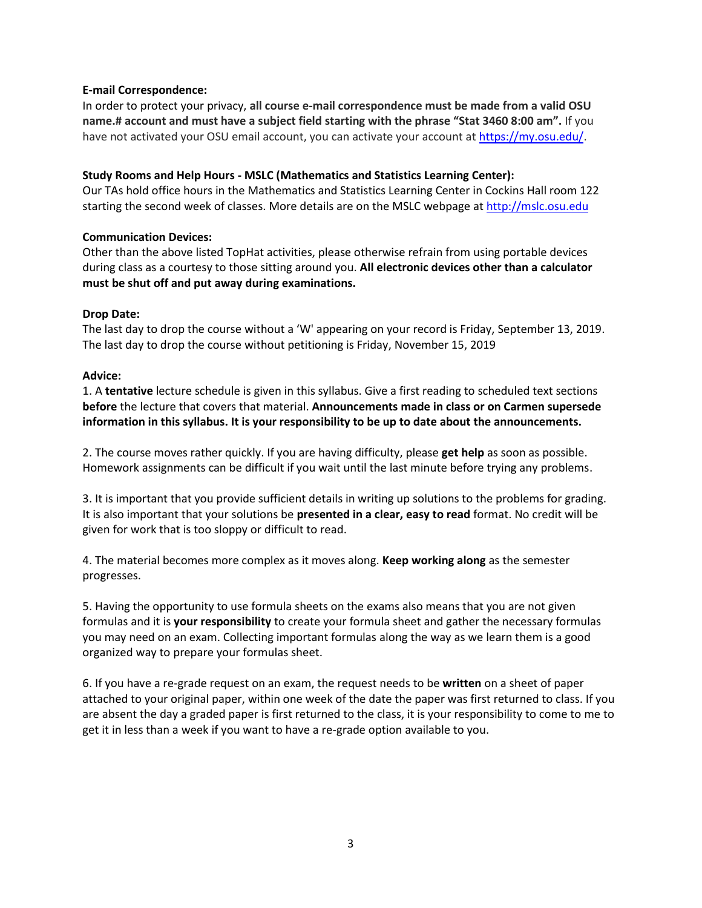## **E-mail Correspondence:**

In order to protect your privacy, **all course e-mail correspondence must be made from a valid OSU name.# account and must have a subject field starting with the phrase "Stat 3460 8:00 am".** If you have not activated your OSU email account, you can activate your account at [https://my.osu.edu/.](https://my.osu.edu/)

#### **Study Rooms and Help Hours - MSLC (Mathematics and Statistics Learning Center):**

Our TAs hold office hours in the Mathematics and Statistics Learning Center in Cockins Hall room 122 starting the second week of classes. More details are on the MSLC webpage at [http://mslc.osu.edu](http://mslc.osu.edu/)

#### **Communication Devices:**

Other than the above listed TopHat activities, please otherwise refrain from using portable devices during class as a courtesy to those sitting around you. **All electronic devices other than a calculator must be shut off and put away during examinations.**

#### **Drop Date:**

The last day to drop the course without a 'W' appearing on your record is Friday, September 13, 2019. The last day to drop the course without petitioning is Friday, November 15, 2019

#### **Advice:**

1. A **tentative** lecture schedule is given in this syllabus. Give a first reading to scheduled text sections **before** the lecture that covers that material. **Announcements made in class or on Carmen supersede information in this syllabus. It is your responsibility to be up to date about the announcements.**

2. The course moves rather quickly. If you are having difficulty, please **get help** as soon as possible. Homework assignments can be difficult if you wait until the last minute before trying any problems.

3. It is important that you provide sufficient details in writing up solutions to the problems for grading. It is also important that your solutions be **presented in a clear, easy to read** format. No credit will be given for work that is too sloppy or difficult to read.

4. The material becomes more complex as it moves along. **Keep working along** as the semester progresses.

5. Having the opportunity to use formula sheets on the exams also means that you are not given formulas and it is **your responsibility** to create your formula sheet and gather the necessary formulas you may need on an exam. Collecting important formulas along the way as we learn them is a good organized way to prepare your formulas sheet.

6. If you have a re-grade request on an exam, the request needs to be **written** on a sheet of paper attached to your original paper, within one week of the date the paper was first returned to class. If you are absent the day a graded paper is first returned to the class, it is your responsibility to come to me to get it in less than a week if you want to have a re-grade option available to you.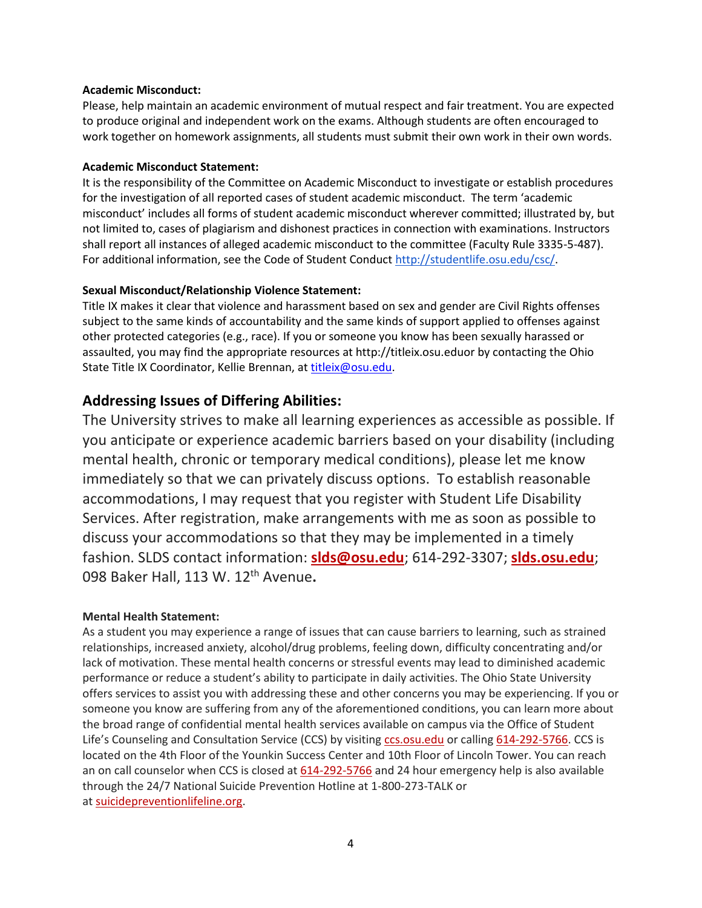## **Academic Misconduct:**

Please, help maintain an academic environment of mutual respect and fair treatment. You are expected to produce original and independent work on the exams. Although students are often encouraged to work together on homework assignments, all students must submit their own work in their own words.

## **Academic Misconduct Statement:**

It is the responsibility of the Committee on Academic Misconduct to investigate or establish procedures for the investigation of all reported cases of student academic misconduct. The term 'academic misconduct' includes all forms of student academic misconduct wherever committed; illustrated by, but not limited to, cases of plagiarism and dishonest practices in connection with examinations. Instructors shall report all instances of alleged academic misconduct to the committee (Faculty Rule 3335-5-487). For additional information, see the Code of Student Conduct [http://studentlife.osu.edu/csc/.](http://studentlife.osu.edu/csc/)

# **Sexual Misconduct/Relationship Violence Statement:**

Title IX makes it clear that violence and harassment based on sex and gender are Civil Rights offenses subject to the same kinds of accountability and the same kinds of support applied to offenses against other protected categories (e.g., race). If you or someone you know has been sexually harassed or assaulted, you may find the appropriate resources at http://titleix.osu.eduor by contacting the Ohio State Title IX Coordinator, Kellie Brennan, at [titleix@osu.edu.](mailto:titleix@osu.edu)

# **Addressing Issues of Differing Abilities:**

The University strives to make all learning experiences as accessible as possible. If you anticipate or experience academic barriers based on your disability (including mental health, chronic or temporary medical conditions), please let me know immediately so that we can privately discuss options. To establish reasonable accommodations, I may request that you register with Student Life Disability Services. After registration, make arrangements with me as soon as possible to discuss your accommodations so that they may be implemented in a timely fashion. SLDS contact information: **[slds@osu.edu](mailto:slds@osu.edu)**; 614-292-3307; **[slds.osu.edu](http://www.ods.ohio-state.edu/)**; 098 Baker Hall, 113 W. 12th Avenue**.**

## **Mental Health Statement:**

As a student you may experience a range of issues that can cause barriers to learning, such as strained relationships, increased anxiety, alcohol/drug problems, feeling down, difficulty concentrating and/or lack of motivation. These mental health concerns or stressful events may lead to diminished academic performance or reduce a student's ability to participate in daily activities. The Ohio State University offers services to assist you with addressing these and other concerns you may be experiencing. If you or someone you know are suffering from any of the aforementioned conditions, you can learn more about the broad range of confidential mental health services available on campus via the Office of Student Life's Counseling and Consultation Service (CCS) by visiting [ccs.osu.edu](http://ccs.osu.edu/) or calling [614-292-5766.](tel:%28614%29%20292-5766) CCS is located on the 4th Floor of the Younkin Success Center and 10th Floor of Lincoln Tower. You can reach an on call counselor when CCS is closed at [614-292-5766](tel:%28614%29%20292-5766) and 24 hour emergency help is also available through the 24/7 National Suicide Prevention Hotline at 1-800-273-TALK or at [suicidepreventionlifeline.org.](http://suicidepreventionlifeline.org/)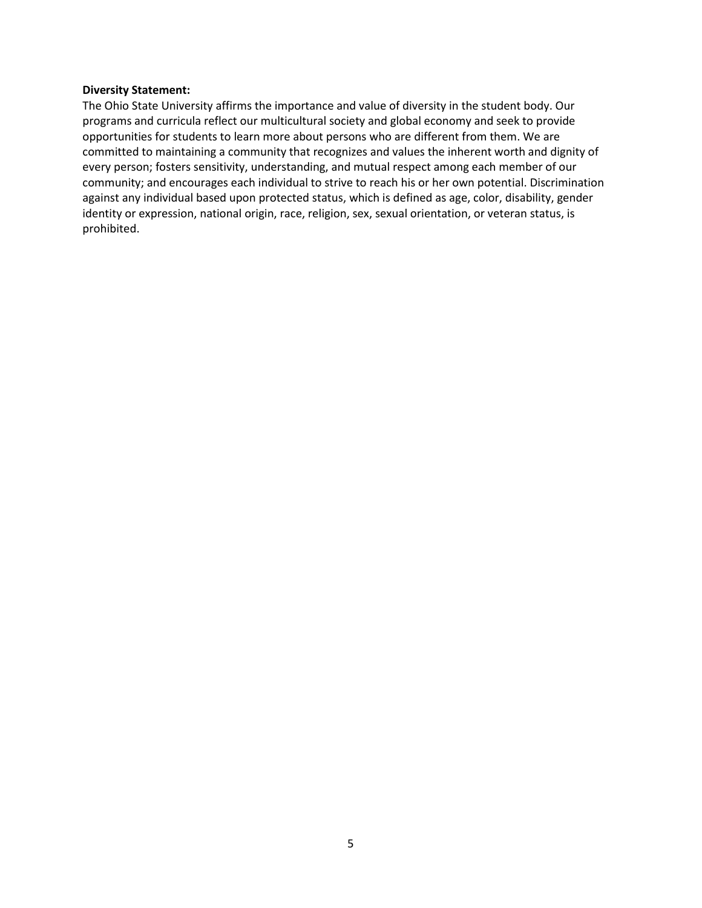#### **Diversity Statement:**

The Ohio State University affirms the importance and value of diversity in the student body. Our programs and curricula reflect our multicultural society and global economy and seek to provide opportunities for students to learn more about persons who are different from them. We are committed to maintaining a community that recognizes and values the inherent worth and dignity of every person; fosters sensitivity, understanding, and mutual respect among each member of our community; and encourages each individual to strive to reach his or her own potential. Discrimination against any individual based upon protected status, which is defined as age, color, disability, gender identity or expression, national origin, race, religion, sex, sexual orientation, or veteran status, is prohibited.